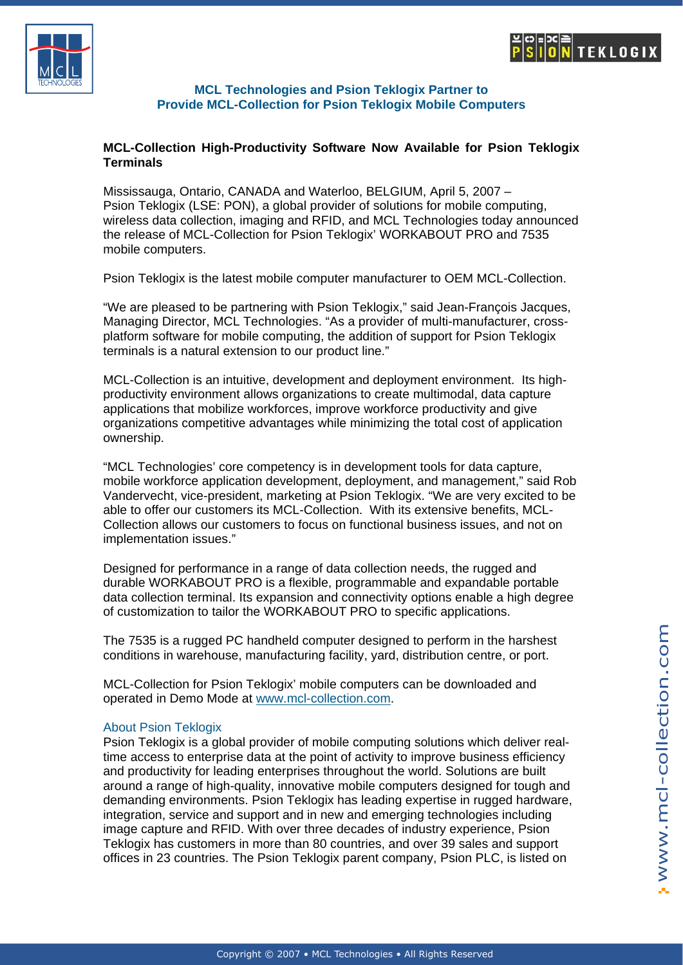



### **MCL Technologies and Psion Teklogix Partner to Provide MCL-Collection for Psion Teklogix Mobile Computers**

## **MCL-Collection High-Productivity Software Now Available for Psion Teklogix Terminals**

Mississauga, Ontario, CANADA and Waterloo, BELGIUM, April 5, 2007 – Psion Teklogix (LSE: PON), a global provider of solutions for mobile computing, wireless data collection, imaging and RFID, and MCL Technologies today announced the release of MCL-Collection for Psion Teklogix' WORKABOUT PRO and 7535 mobile computers.

Psion Teklogix is the latest mobile computer manufacturer to OEM MCL-Collection.

"We are pleased to be partnering with Psion Teklogix," said Jean-François Jacques, Managing Director, MCL Technologies. "As a provider of multi-manufacturer, crossplatform software for mobile computing, the addition of support for Psion Teklogix terminals is a natural extension to our product line."

MCL-Collection is an intuitive, development and deployment environment. Its highproductivity environment allows organizations to create multimodal, data capture applications that mobilize workforces, improve workforce productivity and give organizations competitive advantages while minimizing the total cost of application ownership.

"MCL Technologies' core competency is in development tools for data capture, mobile workforce application development, deployment, and management," said Rob Vandervecht, vice-president, marketing at Psion Teklogix. "We are very excited to be able to offer our customers its MCL-Collection. With its extensive benefits, MCL-Collection allows our customers to focus on functional business issues, and not on implementation issues."

Designed for performance in a range of data collection needs, the rugged and durable WORKABOUT PRO is a flexible, programmable and expandable portable data collection terminal. Its expansion and connectivity options enable a high degree of customization to tailor the WORKABOUT PRO to specific applications.

The 7535 is a rugged PC handheld computer designed to perform in the harshest conditions in warehouse, manufacturing facility, yard, distribution centre, or port.

MCL-Collection for Psion Teklogix' mobile computers can be downloaded and operated in Demo Mode at [www.mcl-collection.com.](http://www.mcl-collection.com/)

### [About Psion Teklogix](http://www.mcl-collection.com/)

Psion Teklogix is a global provider of mobile computing solutions which deliver realtime access to enterprise data at the point of activity to improve business efficiency and productivity for leading enterprises throughout the world. Solutions are built around a range of high-quality, innovative mobile computers designed for tough and demanding environments. Psion Teklogix has leading expertise in rugged hardware, integration, service and support and in new and emerging technologies including image capture and RFID. With over three decades of industry experience, Psion Teklogix has customers in more than 80 countries, and over 39 sales and support offices in 23 countries. The Psion Teklogix parent company, Psion PLC, is listed on